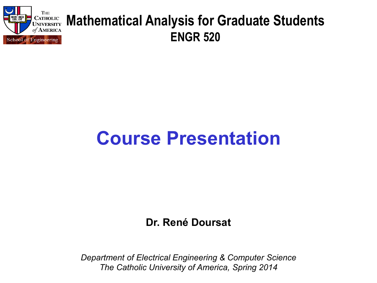

#### **Mathematical Analysis for Graduate Students ENGR 520**

# **Course Presentation**

**Dr. René Doursat**

*Department of Electrical Engineering & Computer Science The Catholic University of America, Spring 2014*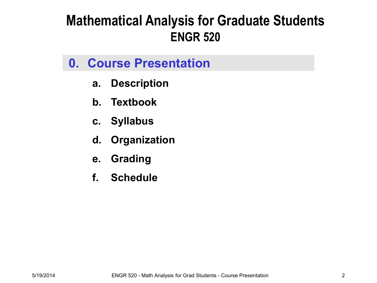#### **Mathematical Analysis for Graduate Students ENGR 520**

#### **0. Course Presentation**

- **a. Description**
- **b. Textbook**
- **c. Syllabus**
- **d. Organization**
- **e. Grading**
- **f. Schedule**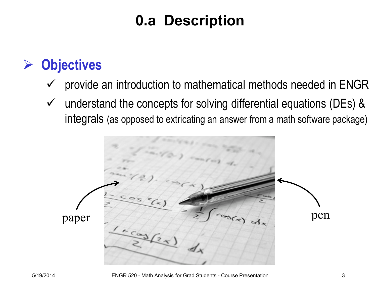# **0.a Description**

### **Objectives**

- $\checkmark$  provide an introduction to mathematical methods needed in ENGR
- $\checkmark$  understand the concepts for solving differential equations (DEs) & integrals (as opposed to extricating an answer from a math software package)

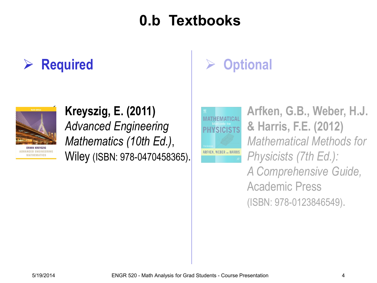# **0.b Textbooks**

#### **Required**



# **Kreyszig, E. (2011)**

*Advanced Engineering Mathematics (10th Ed.)*, Wiley (ISBN: 978-0470458365).

# **Optional**

MATHEMATICA PHYSICIS

**Arfken, G.B., Weber, H.J. & Harris, F.E. (2012)**  *Mathematical Methods for Physicists (7th Ed.): A Comprehensive Guide,*  Academic Press (ISBN: 978-0123846549).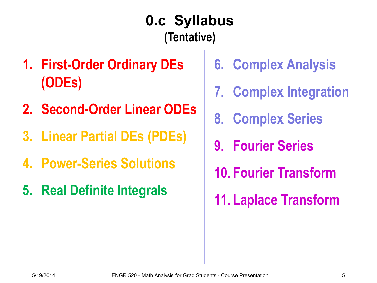# **0.c Syllabus (Tentative)**

- **1. First-Order Ordinary DEs (ODEs)**
- **2. Second-Order Linear ODEs**
- **3. Linear Partial DEs (PDEs)**
- **4. Power-Series Solutions**
- **5. Real Definite Integrals**
- **6. Complex Analysis**
- **7. Complex Integration**
- **8. Complex Series**
- **9. Fourier Series**
- **10. Fourier Transform**
- **11. Laplace Transform**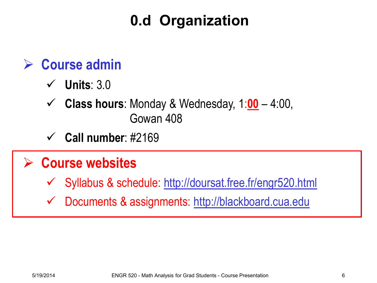# **0.d Organization**

#### **Course admin**

- **Units**: 3.0
- **Class hours**: Monday & Wednesday, 1:**00** 4:00, Gowan 408
- **Call number**: #2169

#### **Course websites**

- Syllabus & schedule: <http://doursat.free.fr/engr520.html>
- Documents & assignments: [http://blackboard.cua.edu](http://blackboard.cua.edu/)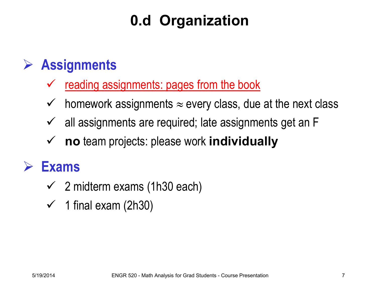# **0.d Organization**

### **Assignments**

- reading assignments: pages from the book
- $\checkmark$  homework assignments  $\approx$  every class, due at the next class
- $\checkmark$  all assignments are required; late assignments get an F
- **no** team projects: please work **individually**

#### **Exams**

- $\checkmark$  2 midterm exams (1h30 each)
- $\checkmark$  1 final exam (2h30)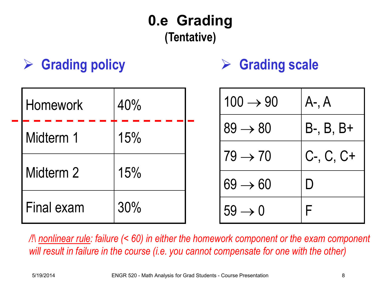# **0.e Grading (Tentative)**

# **Grading policy Grading scale**

| <b>Homework</b> | 40% |  | $100 \rightarrow 90$ | $A-$ , $A$     |
|-----------------|-----|--|----------------------|----------------|
| Midterm 1       | 15% |  | $89 \rightarrow 80$  | $B-, B, B+$    |
| Midterm 2       | 15% |  | $179 \rightarrow 70$ | $C-$ , $C, C+$ |
|                 |     |  | $69 \rightarrow 60$  |                |
| Final exam      | 30% |  | $59 \rightarrow 0$   |                |

*/!\ nonlinear rule: failure (< 60) in either the homework component or the exam component will result in failure in the course (i.e. you cannot compensate for one with the other)*